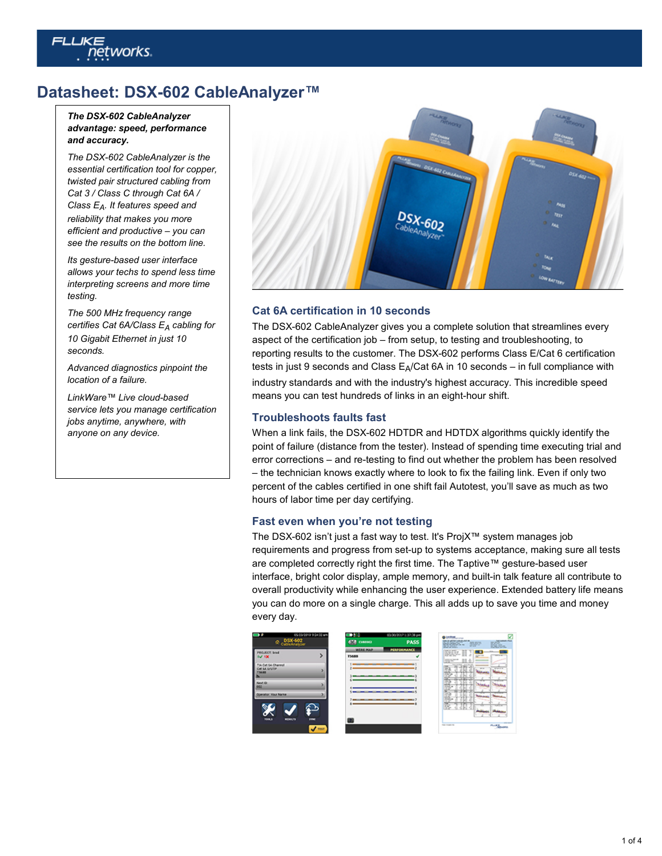# etworks.

# **Datasheet: DSX-602 CableAnalyzer™**

#### *The DSX-602 CableAnalyzer advantage: speed, performance and accuracy.*

*The DSX-602 CableAnalyzer is the essential certification tool for copper, twisted pair structured cabling from Cat 3 / Class C through Cat 6A / Class EA. It features speed and reliability that makes you more efficient and productive – you can see the results on the bottom line.*

*Its gesture-based user interface allows your techs to spend less time interpreting screens and more time testing.*

*The 500 MHz frequency range certifies Cat 6A/Class EA cabling for 10 Gigabit Ethernet in just 10 seconds.*

*Advanced diagnostics pinpoint the location of a failure.*

*LinkWare™ Live cloud-based service lets you manage certification jobs anytime, anywhere, with anyone on any device.*



## **Cat 6A certification in 10 seconds**

The DSX-602 CableAnalyzer gives you a complete solution that streamlines every aspect of the certification job – from setup, to testing and troubleshooting, to reporting results to the customer. The DSX-602 performs Class E/Cat 6 certification tests in just 9 seconds and Class  $E_A/Cat$  6A in 10 seconds – in full compliance with industry standards and with the industry's highest accuracy. This incredible speed means you can test hundreds of links in an eight-hour shift.

## **Troubleshoots faults fast**

When a link fails, the DSX-602 HDTDR and HDTDX algorithms quickly identify the point of failure (distance from the tester). Instead of spending time executing trial and error corrections – and re-testing to find out whether the problem has been resolved – the technician knows exactly where to look to fix the failing link. Even if only two percent of the cables certified in one shift fail Autotest, you'll save as much as two hours of labor time per day certifying.

#### **Fast even when you're not testing**

The DSX-602 isn't just a fast way to test. It's ProjX™ system manages job requirements and progress from set-up to systems acceptance, making sure all tests are completed correctly right the first time. The Taptive™ gesture-based user interface, bright color display, ample memory, and built-in talk feature all contribute to overall productivity while enhancing the user experience. Extended battery life means you can do more on a single charge. This all adds up to save you time and money every day.

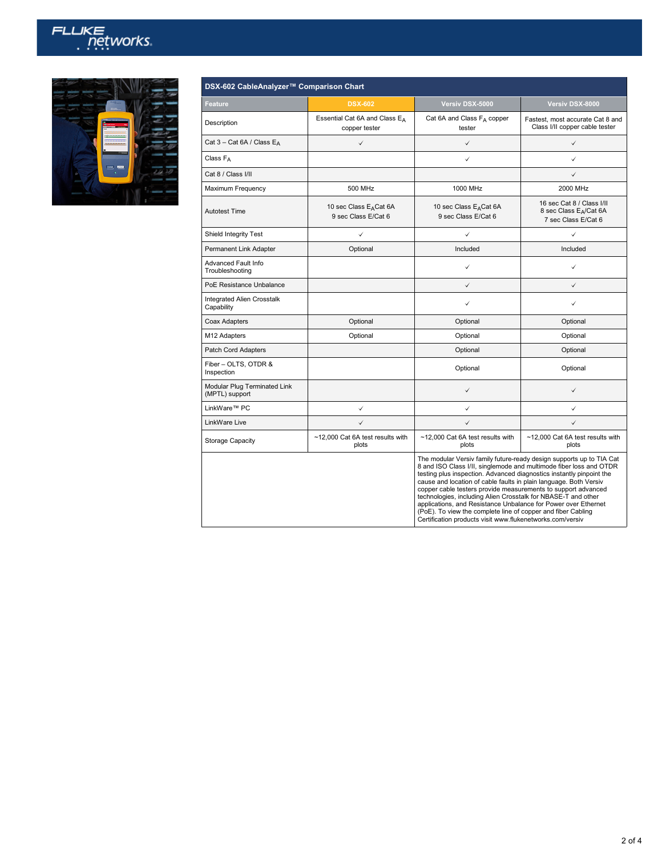



| DSX-602 CableAnalyzer™ Comparison Chart         |                                                           |                                                                                                                                                                                                                                                                                                                                                                                                                                                                                                                                                                                                                          |                                                                           |  |
|-------------------------------------------------|-----------------------------------------------------------|--------------------------------------------------------------------------------------------------------------------------------------------------------------------------------------------------------------------------------------------------------------------------------------------------------------------------------------------------------------------------------------------------------------------------------------------------------------------------------------------------------------------------------------------------------------------------------------------------------------------------|---------------------------------------------------------------------------|--|
| Feature                                         | <b>DSX-602</b>                                            | Versiv DSX-5000                                                                                                                                                                                                                                                                                                                                                                                                                                                                                                                                                                                                          | Versiv DSX-8000                                                           |  |
| Description                                     | Essential Cat 6A and Class EA<br>copper tester            | Cat 6A and Class FA copper<br>tester                                                                                                                                                                                                                                                                                                                                                                                                                                                                                                                                                                                     | Fastest, most accurate Cat 8 and<br>Class I/II copper cable tester        |  |
| Cat 3 - Cat 6A / Class EA                       | $\checkmark$                                              | $\checkmark$                                                                                                                                                                                                                                                                                                                                                                                                                                                                                                                                                                                                             | $\checkmark$                                                              |  |
| Class $F_A$                                     |                                                           | $\checkmark$                                                                                                                                                                                                                                                                                                                                                                                                                                                                                                                                                                                                             | ✓                                                                         |  |
| Cat 8 / Class I/II                              |                                                           |                                                                                                                                                                                                                                                                                                                                                                                                                                                                                                                                                                                                                          | $\checkmark$                                                              |  |
| Maximum Frequency                               | 500 MHz                                                   | 1000 MHz                                                                                                                                                                                                                                                                                                                                                                                                                                                                                                                                                                                                                 | 2000 MHz                                                                  |  |
| <b>Autotest Time</b>                            | 10 sec Class E <sub>A</sub> Cat 6A<br>9 sec Class E/Cat 6 | 10 sec Class E <sub>A</sub> Cat 6A<br>9 sec Class E/Cat 6                                                                                                                                                                                                                                                                                                                                                                                                                                                                                                                                                                | 16 sec Cat 8 / Class I/II<br>8 sec Class EA/Cat 6A<br>7 sec Class E/Cat 6 |  |
| Shield Integrity Test                           | $\checkmark$                                              | ✓                                                                                                                                                                                                                                                                                                                                                                                                                                                                                                                                                                                                                        | ✓                                                                         |  |
| Permanent Link Adapter                          | Optional                                                  | Included                                                                                                                                                                                                                                                                                                                                                                                                                                                                                                                                                                                                                 | Included                                                                  |  |
| Advanced Fault Info<br>Troubleshooting          |                                                           | $\checkmark$                                                                                                                                                                                                                                                                                                                                                                                                                                                                                                                                                                                                             | ✓                                                                         |  |
| PoE Resistance Unbalance                        |                                                           | $\checkmark$                                                                                                                                                                                                                                                                                                                                                                                                                                                                                                                                                                                                             | $\checkmark$                                                              |  |
| <b>Integrated Alien Crosstalk</b><br>Capability |                                                           | ✓                                                                                                                                                                                                                                                                                                                                                                                                                                                                                                                                                                                                                        | ✓                                                                         |  |
| Coax Adapters                                   | Optional                                                  | Optional                                                                                                                                                                                                                                                                                                                                                                                                                                                                                                                                                                                                                 | Optional                                                                  |  |
| M <sub>12</sub> Adapters                        | Optional                                                  | Optional                                                                                                                                                                                                                                                                                                                                                                                                                                                                                                                                                                                                                 | Optional                                                                  |  |
| Patch Cord Adapters                             |                                                           | Optional                                                                                                                                                                                                                                                                                                                                                                                                                                                                                                                                                                                                                 | Optional                                                                  |  |
| Fiber - OLTS, OTDR &<br>Inspection              |                                                           | Optional                                                                                                                                                                                                                                                                                                                                                                                                                                                                                                                                                                                                                 | Optional                                                                  |  |
| Modular Plug Terminated Link<br>(MPTL) support  |                                                           | $\checkmark$                                                                                                                                                                                                                                                                                                                                                                                                                                                                                                                                                                                                             | $\checkmark$                                                              |  |
| LinkWare™ PC                                    | $\checkmark$                                              | $\checkmark$                                                                                                                                                                                                                                                                                                                                                                                                                                                                                                                                                                                                             | ✓                                                                         |  |
| LinkWare Live                                   | $\checkmark$                                              | $\checkmark$                                                                                                                                                                                                                                                                                                                                                                                                                                                                                                                                                                                                             | $\checkmark$                                                              |  |
| <b>Storage Capacity</b>                         | ~12,000 Cat 6A test results with<br>plots                 | ~12,000 Cat 6A test results with<br>plots                                                                                                                                                                                                                                                                                                                                                                                                                                                                                                                                                                                | ~12,000 Cat 6A test results with<br>plots                                 |  |
|                                                 |                                                           | The modular Versiv family future-ready design supports up to TIA Cat<br>8 and ISO Class I/II, singlemode and multimode fiber loss and OTDR<br>testing plus inspection. Advanced diagnostics instantly pinpoint the<br>cause and location of cable faults in plain language. Both Versiv<br>copper cable testers provide measurements to support advanced<br>technologies, including Alien Crosstalk for NBASE-T and other<br>applications, and Resistance Unbalance for Power over Ethernet<br>(PoE). To view the complete line of copper and fiber Cabling<br>Certification products visit www.flukenetworks.com/versiv |                                                                           |  |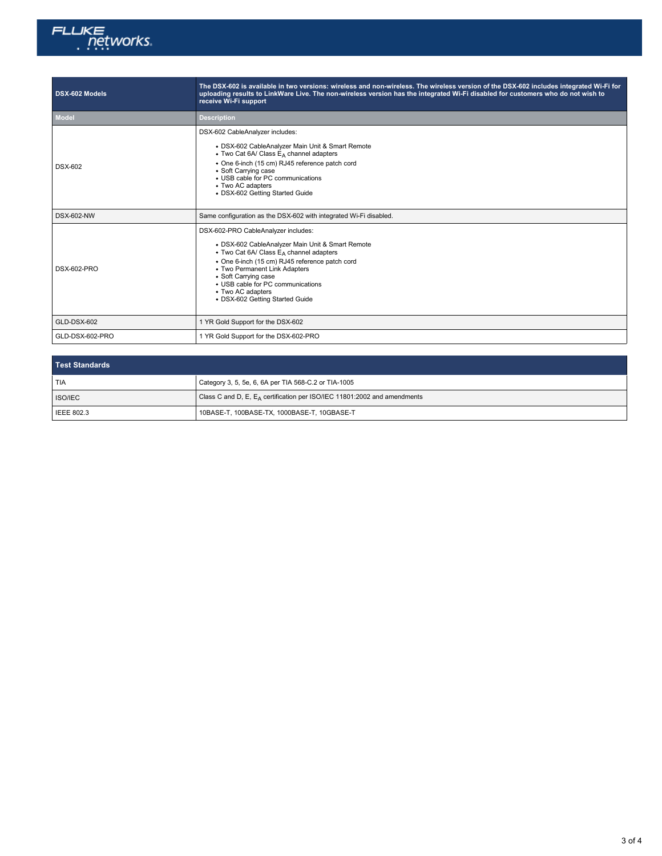

| DSX-602 Models     | The DSX-602 is available in two versions: wireless and non-wireless. The wireless version of the DSX-602 includes integrated Wi-Fi for<br>uploading results to LinkWare Live. The non-wireless version has the integrated Wi-Fi disabled for customers who do not wish to<br>receive Wi-Fi support                                            |  |
|--------------------|-----------------------------------------------------------------------------------------------------------------------------------------------------------------------------------------------------------------------------------------------------------------------------------------------------------------------------------------------|--|
| <b>Model</b>       | <b>Description</b>                                                                                                                                                                                                                                                                                                                            |  |
| <b>DSX-602</b>     | DSX-602 CableAnalyzer includes:<br>• DSX-602 CableAnalyzer Main Unit & Smart Remote<br>• Two Cat 6A/ Class E <sub>A</sub> channel adapters<br>• One 6-inch (15 cm) RJ45 reference patch cord<br>• Soft Carrying case<br>• USB cable for PC communications<br>• Two AC adapters<br>• DSX-602 Getting Started Guide                             |  |
| <b>DSX-602-NW</b>  | Same configuration as the DSX-602 with integrated Wi-Fi disabled.                                                                                                                                                                                                                                                                             |  |
| <b>DSX-602-PRO</b> | DSX-602-PRO CableAnalyzer includes:<br>• DSX-602 CableAnalyzer Main Unit & Smart Remote<br>• Two Cat 6A/ Class $E_A$ channel adapters<br>• One 6-inch (15 cm) RJ45 reference patch cord<br>• Two Permanent Link Adapters<br>• Soft Carrying case<br>• USB cable for PC communications<br>• Two AC adapters<br>• DSX-602 Getting Started Guide |  |
| GLD-DSX-602        | 1 YR Gold Support for the DSX-602                                                                                                                                                                                                                                                                                                             |  |
| GLD-DSX-602-PRO    | 1 YR Gold Support for the DSX-602-PRO                                                                                                                                                                                                                                                                                                         |  |

| Test Standards    |                                                                             |
|-------------------|-----------------------------------------------------------------------------|
| TIA               | Category 3, 5, 5e, 6, 6A per TIA 568-C.2 or TIA-1005                        |
| ISO/IEC           | Class C and D, E, $E_A$ certification per ISO/IEC 11801:2002 and amendments |
| <b>IEEE 802.3</b> | 10BASE-T, 100BASE-TX, 1000BASE-T, 10GBASE-T                                 |